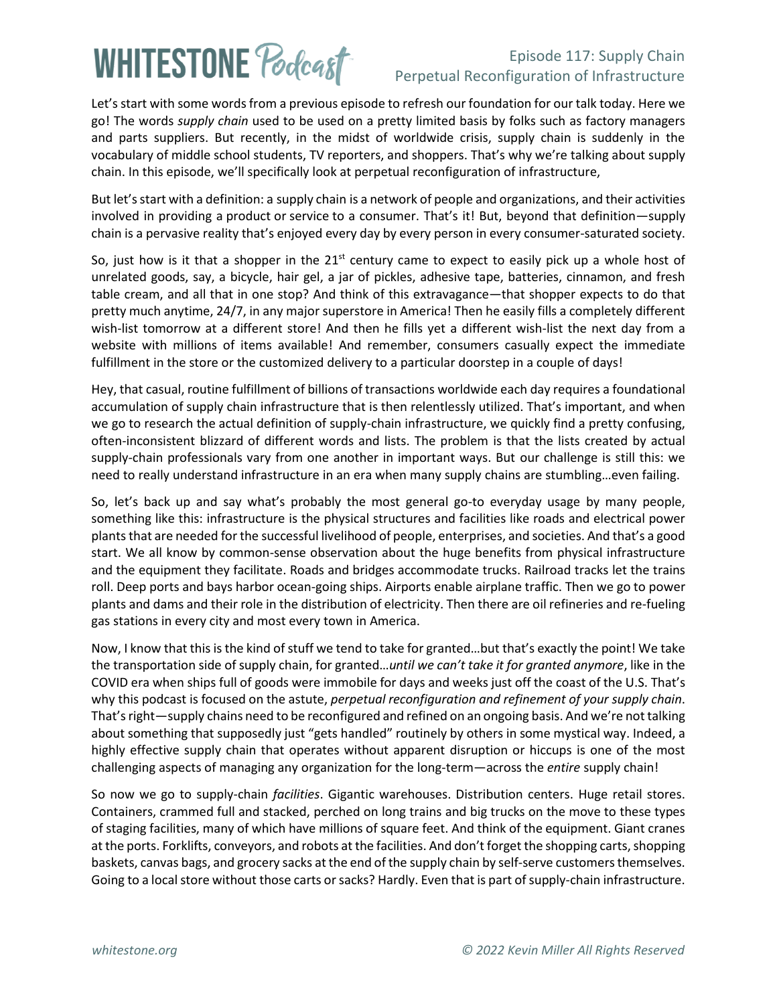# **WHITESTONE Poclcast**

#### Episode 117: Supply Chain Perpetual Reconfiguration of Infrastructure

Let's start with some words from a previous episode to refresh our foundation for our talk today. Here we go! The words *supply chain* used to be used on a pretty limited basis by folks such as factory managers and parts suppliers. But recently, in the midst of worldwide crisis, supply chain is suddenly in the vocabulary of middle school students, TV reporters, and shoppers. That's why we're talking about supply chain. In this episode, we'll specifically look at perpetual reconfiguration of infrastructure,

But let's start with a definition: a supply chain is a network of people and organizations, and their activities involved in providing a [product](https://en.wikipedia.org/wiki/Product_(business)) or [service](https://en.wikipedia.org/wiki/Service_(business)) to a consumer. That's it! But, beyond that definition—supply chain is a pervasive reality that's enjoyed every day by every person in every consumer-saturated society.

So, just how is it that a shopper in the  $21<sup>st</sup>$  century came to expect to easily pick up a whole host of unrelated goods, say, a bicycle, hair gel, a jar of pickles, adhesive tape, batteries, cinnamon, and fresh table cream, and all that in one stop? And think of this extravagance—that shopper expects to do that pretty much anytime, 24/7, in any major superstore in America! Then he easily fills a completely different wish-list tomorrow at a different store! And then he fills yet a different wish-list the next day from a website with millions of items available! And remember, consumers casually expect the immediate fulfillment in the store or the customized delivery to a particular doorstep in a couple of days!

Hey, that casual, routine fulfillment of billions of transactions worldwide each day requires a foundational accumulation of supply chain infrastructure that is then relentlessly utilized. That's important, and when we go to research the actual definition of supply-chain infrastructure, we quickly find a pretty confusing, often-inconsistent blizzard of different words and lists. The problem is that the lists created by actual supply-chain professionals vary from one another in important ways. But our challenge is still this: we need to really understand infrastructure in an era when many supply chains are stumbling…even failing.

So, let's back up and say what's probably the most general go-to everyday usage by many people, something like this: infrastructure is the physical structures and facilities like roads and electrical power plants that are needed for the successful livelihood of people, enterprises, and societies. And that's a good start. We all know by common-sense observation about the huge benefits from physical infrastructure and the equipment they facilitate. Roads and bridges accommodate trucks. Railroad tracks let the trains roll. Deep ports and bays harbor ocean-going ships. Airports enable airplane traffic. Then we go to power plants and dams and their role in the distribution of electricity. Then there are oil refineries and re-fueling gas stations in every city and most every town in America.

Now, I know that this is the kind of stuff we tend to take for granted…but that's exactly the point! We take the transportation side of supply chain, for granted…*until we can't take it for granted anymore*, like in the COVID era when ships full of goods were immobile for days and weeks just off the coast of the U.S. That's why this podcast is focused on the astute, *perpetual reconfiguration and refinement of your supply chain*. That's right—supply chains need to be reconfigured and refined on an ongoing basis. And we're not talking about something that supposedly just "gets handled" routinely by others in some mystical way. Indeed, a highly effective supply chain that operates without apparent disruption or hiccups is one of the most challenging aspects of managing any organization for the long-term—across the *entire* supply chain!

So now we go to supply-chain *facilities*. Gigantic warehouses. Distribution centers. Huge retail stores. Containers, crammed full and stacked, perched on long trains and big trucks on the move to these types of staging facilities, many of which have millions of square feet. And think of the equipment. Giant cranes at the ports. Forklifts, conveyors, and robots at the facilities. And don't forget the shopping carts, shopping baskets, canvas bags, and grocery sacks at the end of the supply chain by self-serve customers themselves. Going to a local store without those carts or sacks? Hardly. Even that is part of supply-chain infrastructure.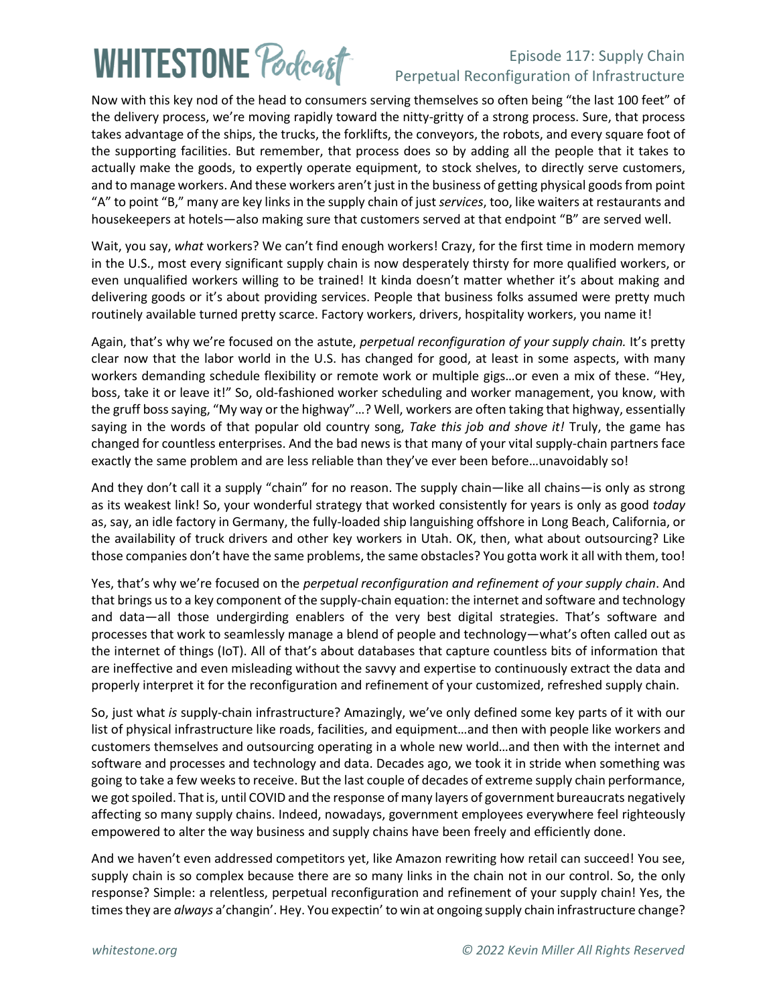# **WHITESTONE Pocloget**

#### Episode 117: Supply Chain Perpetual Reconfiguration of Infrastructure

Now with this key nod of the head to consumers serving themselves so often being "the last 100 feet" of the delivery process, we're moving rapidly toward the nitty-gritty of a strong process. Sure, that process takes advantage of the ships, the trucks, the forklifts, the conveyors, the robots, and every square foot of the supporting facilities. But remember, that process does so by adding all the people that it takes to actually make the goods, to expertly operate equipment, to stock shelves, to directly serve customers, and to manage workers. And these workers aren't just in the business of getting physical goods from point "A" to point "B," many are key links in the supply chain of just *services*, too, like waiters at restaurants and housekeepers at hotels—also making sure that customers served at that endpoint "B" are served well.

Wait, you say, *what* workers? We can't find enough workers! Crazy, for the first time in modern memory in the U.S., most every significant supply chain is now desperately thirsty for more qualified workers, or even unqualified workers willing to be trained! It kinda doesn't matter whether it's about making and delivering goods or it's about providing services. People that business folks assumed were pretty much routinely available turned pretty scarce. Factory workers, drivers, hospitality workers, you name it!

Again, that's why we're focused on the astute, *perpetual reconfiguration of your supply chain.* It's pretty clear now that the labor world in the U.S. has changed for good, at least in some aspects, with many workers demanding schedule flexibility or remote work or multiple gigs…or even a mix of these. "Hey, boss, take it or leave it!" So, old-fashioned worker scheduling and worker management, you know, with the gruff boss saying, "My way or the highway"…? Well, workers are often taking that highway, essentially saying in the words of that popular old country song, *Take this job and shove it!* Truly, the game has changed for countless enterprises. And the bad news is that many of your vital supply-chain partners face exactly the same problem and are less reliable than they've ever been before…unavoidably so!

And they don't call it a supply "chain" for no reason. The supply chain—like all chains—is only as strong as its weakest link! So, your wonderful strategy that worked consistently for years is only as good *today* as, say, an idle factory in Germany, the fully-loaded ship languishing offshore in Long Beach, California, or the availability of truck drivers and other key workers in Utah. OK, then, what about outsourcing? Like those companies don't have the same problems, the same obstacles? You gotta work it all with them, too!

Yes, that's why we're focused on the *perpetual reconfiguration and refinement of your supply chain*. And that brings us to a key component of the supply-chain equation: the internet and software and technology and data—all those undergirding enablers of the very best digital strategies. That's software and processes that work to seamlessly manage a blend of people and technology—what's often called out as the internet of things (IoT). All of that's about databases that capture countless bits of information that are ineffective and even misleading without the savvy and expertise to continuously extract the data and properly interpret it for the reconfiguration and refinement of your customized, refreshed supply chain.

So, just what *is* supply-chain infrastructure? Amazingly, we've only defined some key parts of it with our list of physical infrastructure like roads, facilities, and equipment…and then with people like workers and customers themselves and outsourcing operating in a whole new world…and then with the internet and software and processes and technology and data. Decades ago, we took it in stride when something was going to take a few weeks to receive. But the last couple of decades of extreme supply chain performance, we got spoiled. That is, until COVID and the response of many layers of government bureaucrats negatively affecting so many supply chains. Indeed, nowadays, government employees everywhere feel righteously empowered to alter the way business and supply chains have been freely and efficiently done.

And we haven't even addressed competitors yet, like Amazon rewriting how retail can succeed! You see, supply chain is so complex because there are so many links in the chain not in our control. So, the only response? Simple: a relentless, perpetual reconfiguration and refinement of your supply chain! Yes, the times they are *always* a'changin'. Hey. You expectin' to win at ongoing supply chain infrastructure change?